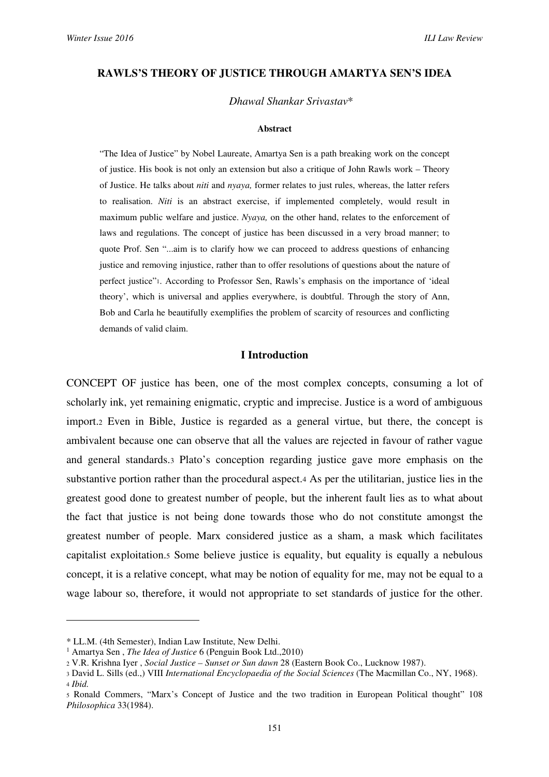#### **RAWLS'S THEORY OF JUSTICE THROUGH AMARTYA SEN'S IDEA**

#### *Dhawal Shankar Srivastav*\*

#### **Abstract**

"The Idea of Justice" by Nobel Laureate, Amartya Sen is a path breaking work on the concept of justice. His book is not only an extension but also a critique of John Rawls work – Theory of Justice. He talks about *niti* and *nyaya,* former relates to just rules, whereas, the latter refers to realisation. *Niti* is an abstract exercise, if implemented completely, would result in maximum public welfare and justice. *Nyaya,* on the other hand, relates to the enforcement of laws and regulations. The concept of justice has been discussed in a very broad manner; to quote Prof. Sen "...aim is to clarify how we can proceed to address questions of enhancing justice and removing injustice, rather than to offer resolutions of questions about the nature of perfect justice"1. According to Professor Sen, Rawls's emphasis on the importance of 'ideal theory', which is universal and applies everywhere, is doubtful. Through the story of Ann, Bob and Carla he beautifully exemplifies the problem of scarcity of resources and conflicting demands of valid claim.

#### **I Introduction**

CONCEPT OF justice has been, one of the most complex concepts, consuming a lot of scholarly ink, yet remaining enigmatic, cryptic and imprecise. Justice is a word of ambiguous import.2 Even in Bible, Justice is regarded as a general virtue, but there, the concept is ambivalent because one can observe that all the values are rejected in favour of rather vague and general standards.3 Plato's conception regarding justice gave more emphasis on the substantive portion rather than the procedural aspect.4 As per the utilitarian, justice lies in the greatest good done to greatest number of people, but the inherent fault lies as to what about the fact that justice is not being done towards those who do not constitute amongst the greatest number of people. Marx considered justice as a sham, a mask which facilitates capitalist exploitation.5 Some believe justice is equality, but equality is equally a nebulous concept, it is a relative concept, what may be notion of equality for me, may not be equal to a wage labour so, therefore, it would not appropriate to set standards of justice for the other.

<sup>\*</sup> LL.M. (4th Semester), Indian Law Institute, New Delhi.

<sup>1</sup> Amartya Sen , *The Idea of Justice* 6 (Penguin Book Ltd.,2010)

<sup>2</sup> V.R. Krishna Iyer , *Social Justice – Sunset or Sun dawn* 28 (Eastern Book Co., Lucknow 1987).

<sup>3</sup> David L. Sills (ed.,) VIII *International Encyclopaedia of the Social Sciences* (The Macmillan Co., NY, 1968). <sup>4</sup> *Ibid.*

<sup>5</sup> Ronald Commers, "Marx's Concept of Justice and the two tradition in European Political thought" 108 *Philosophica* 33(1984).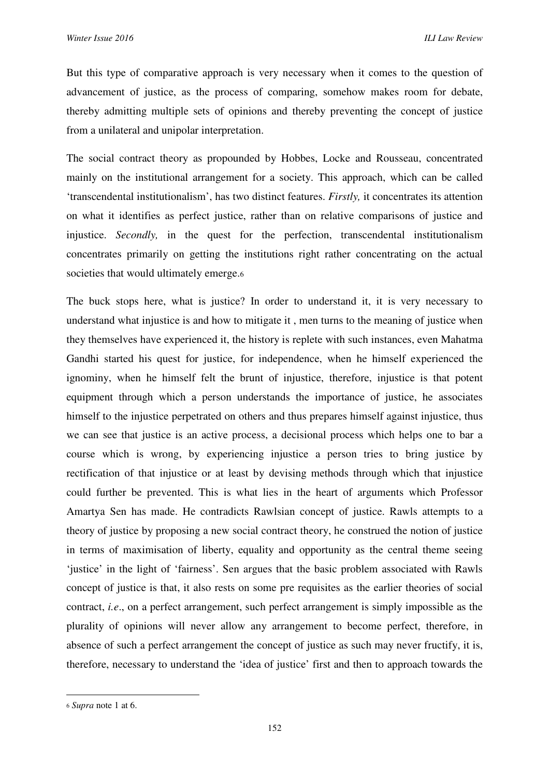But this type of comparative approach is very necessary when it comes to the question of advancement of justice, as the process of comparing, somehow makes room for debate, thereby admitting multiple sets of opinions and thereby preventing the concept of justice from a unilateral and unipolar interpretation.

The social contract theory as propounded by Hobbes, Locke and Rousseau, concentrated mainly on the institutional arrangement for a society. This approach, which can be called 'transcendental institutionalism', has two distinct features. *Firstly,* it concentrates its attention on what it identifies as perfect justice, rather than on relative comparisons of justice and injustice. *Secondly,* in the quest for the perfection, transcendental institutionalism concentrates primarily on getting the institutions right rather concentrating on the actual societies that would ultimately emerge.6

The buck stops here, what is justice? In order to understand it, it is very necessary to understand what injustice is and how to mitigate it , men turns to the meaning of justice when they themselves have experienced it, the history is replete with such instances, even Mahatma Gandhi started his quest for justice, for independence, when he himself experienced the ignominy, when he himself felt the brunt of injustice, therefore, injustice is that potent equipment through which a person understands the importance of justice, he associates himself to the injustice perpetrated on others and thus prepares himself against injustice, thus we can see that justice is an active process, a decisional process which helps one to bar a course which is wrong, by experiencing injustice a person tries to bring justice by rectification of that injustice or at least by devising methods through which that injustice could further be prevented. This is what lies in the heart of arguments which Professor Amartya Sen has made. He contradicts Rawlsian concept of justice. Rawls attempts to a theory of justice by proposing a new social contract theory, he construed the notion of justice in terms of maximisation of liberty, equality and opportunity as the central theme seeing 'justice' in the light of 'fairness'. Sen argues that the basic problem associated with Rawls concept of justice is that, it also rests on some pre requisites as the earlier theories of social contract, *i.e*., on a perfect arrangement, such perfect arrangement is simply impossible as the plurality of opinions will never allow any arrangement to become perfect, therefore, in absence of such a perfect arrangement the concept of justice as such may never fructify, it is, therefore, necessary to understand the 'idea of justice' first and then to approach towards the

<sup>6</sup> *Supra* note 1 at 6.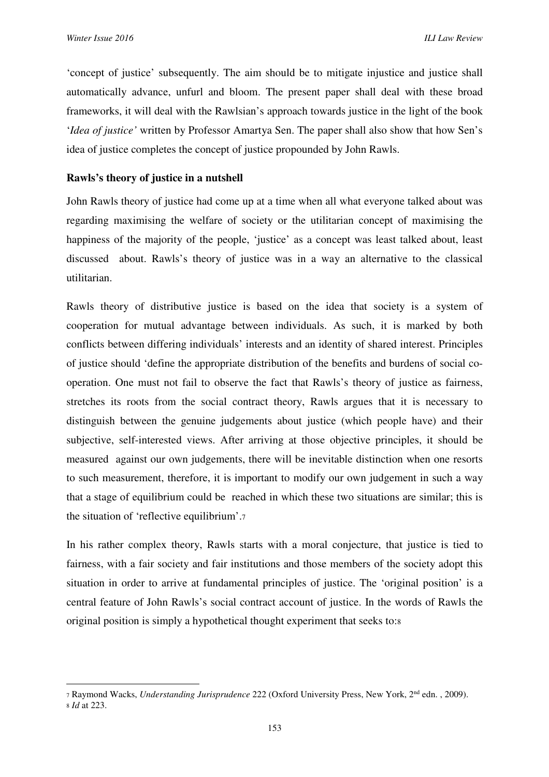l

'concept of justice' subsequently. The aim should be to mitigate injustice and justice shall automatically advance, unfurl and bloom. The present paper shall deal with these broad frameworks, it will deal with the Rawlsian's approach towards justice in the light of the book '*Idea of justice'* written by Professor Amartya Sen. The paper shall also show that how Sen's idea of justice completes the concept of justice propounded by John Rawls.

### **Rawls's theory of justice in a nutshell**

John Rawls theory of justice had come up at a time when all what everyone talked about was regarding maximising the welfare of society or the utilitarian concept of maximising the happiness of the majority of the people, 'justice' as a concept was least talked about, least discussed about. Rawls's theory of justice was in a way an alternative to the classical utilitarian.

Rawls theory of distributive justice is based on the idea that society is a system of cooperation for mutual advantage between individuals. As such, it is marked by both conflicts between differing individuals' interests and an identity of shared interest. Principles of justice should 'define the appropriate distribution of the benefits and burdens of social cooperation. One must not fail to observe the fact that Rawls's theory of justice as fairness, stretches its roots from the social contract theory, Rawls argues that it is necessary to distinguish between the genuine judgements about justice (which people have) and their subjective, self-interested views. After arriving at those objective principles, it should be measured against our own judgements, there will be inevitable distinction when one resorts to such measurement, therefore, it is important to modify our own judgement in such a way that a stage of equilibrium could be reached in which these two situations are similar; this is the situation of 'reflective equilibrium'.<sup>7</sup>

In his rather complex theory, Rawls starts with a moral conjecture, that justice is tied to fairness, with a fair society and fair institutions and those members of the society adopt this situation in order to arrive at fundamental principles of justice. The 'original position' is a central feature of John Rawls's social contract account of justice. In the words of Rawls the original position is simply a hypothetical thought experiment that seeks to:<sup>8</sup>

<sup>7</sup> Raymond Wacks, *Understanding Jurisprudence* 222 (Oxford University Press, New York, 2nd edn. , 2009). <sup>8</sup> *Id* at 223.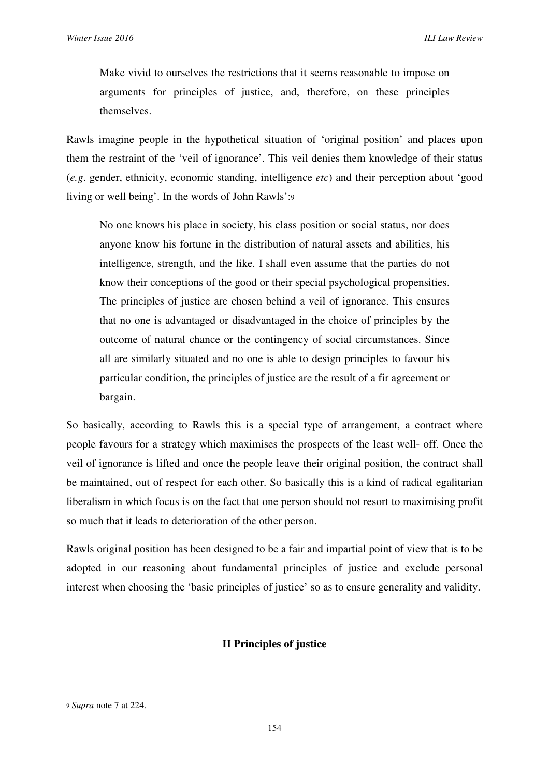Make vivid to ourselves the restrictions that it seems reasonable to impose on arguments for principles of justice, and, therefore, on these principles themselves.

Rawls imagine people in the hypothetical situation of 'original position' and places upon them the restraint of the 'veil of ignorance'. This veil denies them knowledge of their status (*e.g*. gender, ethnicity, economic standing, intelligence *etc*) and their perception about 'good living or well being'. In the words of John Rawls':<sup>9</sup>

No one knows his place in society, his class position or social status, nor does anyone know his fortune in the distribution of natural assets and abilities, his intelligence, strength, and the like. I shall even assume that the parties do not know their conceptions of the good or their special psychological propensities. The principles of justice are chosen behind a veil of ignorance. This ensures that no one is advantaged or disadvantaged in the choice of principles by the outcome of natural chance or the contingency of social circumstances. Since all are similarly situated and no one is able to design principles to favour his particular condition, the principles of justice are the result of a fir agreement or bargain.

So basically, according to Rawls this is a special type of arrangement, a contract where people favours for a strategy which maximises the prospects of the least well- off. Once the veil of ignorance is lifted and once the people leave their original position, the contract shall be maintained, out of respect for each other. So basically this is a kind of radical egalitarian liberalism in which focus is on the fact that one person should not resort to maximising profit so much that it leads to deterioration of the other person.

Rawls original position has been designed to be a fair and impartial point of view that is to be adopted in our reasoning about fundamental principles of justice and exclude personal interest when choosing the 'basic principles of justice' so as to ensure generality and validity.

# **II Principles of justice**

<sup>9</sup> *Supra* note 7 at 224.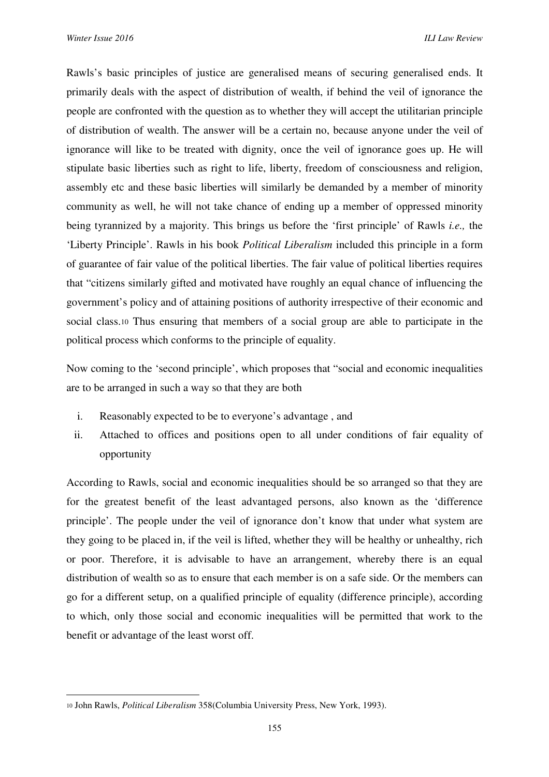Rawls's basic principles of justice are generalised means of securing generalised ends. It primarily deals with the aspect of distribution of wealth, if behind the veil of ignorance the people are confronted with the question as to whether they will accept the utilitarian principle of distribution of wealth. The answer will be a certain no, because anyone under the veil of ignorance will like to be treated with dignity, once the veil of ignorance goes up. He will stipulate basic liberties such as right to life, liberty, freedom of consciousness and religion, assembly etc and these basic liberties will similarly be demanded by a member of minority community as well, he will not take chance of ending up a member of oppressed minority being tyrannized by a majority. This brings us before the 'first principle' of Rawls *i.e.,* the 'Liberty Principle'. Rawls in his book *Political Liberalism* included this principle in a form of guarantee of fair value of the political liberties. The fair value of political liberties requires that "citizens similarly gifted and motivated have roughly an equal chance of influencing the government's policy and of attaining positions of authority irrespective of their economic and social class.10 Thus ensuring that members of a social group are able to participate in the political process which conforms to the principle of equality.

Now coming to the 'second principle', which proposes that "social and economic inequalities are to be arranged in such a way so that they are both

- i. Reasonably expected to be to everyone's advantage , and
- ii. Attached to offices and positions open to all under conditions of fair equality of opportunity

According to Rawls, social and economic inequalities should be so arranged so that they are for the greatest benefit of the least advantaged persons, also known as the 'difference principle'. The people under the veil of ignorance don't know that under what system are they going to be placed in, if the veil is lifted, whether they will be healthy or unhealthy, rich or poor. Therefore, it is advisable to have an arrangement, whereby there is an equal distribution of wealth so as to ensure that each member is on a safe side. Or the members can go for a different setup, on a qualified principle of equality (difference principle), according to which, only those social and economic inequalities will be permitted that work to the benefit or advantage of the least worst off.

<sup>10</sup> John Rawls, *Political Liberalism* 358(Columbia University Press, New York, 1993).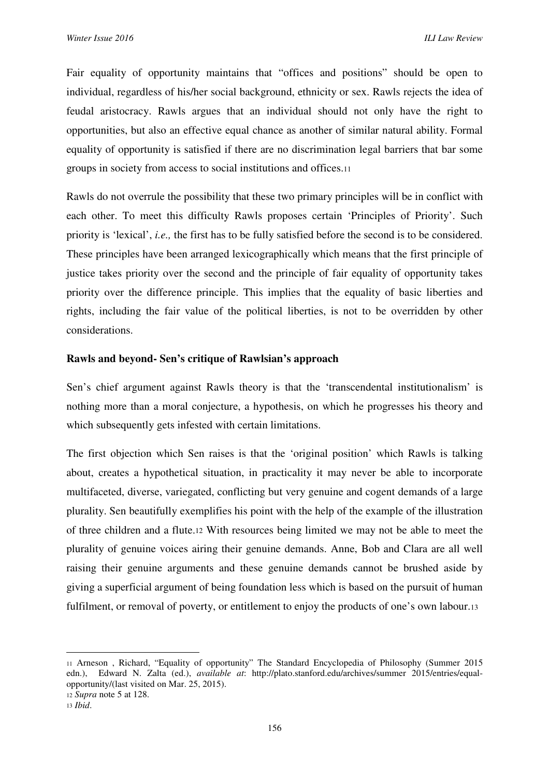Fair equality of opportunity maintains that "offices and positions" should be open to individual, regardless of his/her social background, ethnicity or sex. Rawls rejects the idea of feudal aristocracy. Rawls argues that an individual should not only have the right to opportunities, but also an effective equal chance as another of similar natural ability. Formal equality of opportunity is satisfied if there are no discrimination legal barriers that bar some groups in society from access to social institutions and offices.<sup>11</sup>

Rawls do not overrule the possibility that these two primary principles will be in conflict with each other. To meet this difficulty Rawls proposes certain 'Principles of Priority'. Such priority is 'lexical', *i.e.,* the first has to be fully satisfied before the second is to be considered. These principles have been arranged lexicographically which means that the first principle of justice takes priority over the second and the principle of fair equality of opportunity takes priority over the difference principle. This implies that the equality of basic liberties and rights, including the fair value of the political liberties, is not to be overridden by other considerations.

# **Rawls and beyond- Sen's critique of Rawlsian's approach**

Sen's chief argument against Rawls theory is that the 'transcendental institutionalism' is nothing more than a moral conjecture, a hypothesis, on which he progresses his theory and which subsequently gets infested with certain limitations.

The first objection which Sen raises is that the 'original position' which Rawls is talking about, creates a hypothetical situation, in practicality it may never be able to incorporate multifaceted, diverse, variegated, conflicting but very genuine and cogent demands of a large plurality. Sen beautifully exemplifies his point with the help of the example of the illustration of three children and a flute.12 With resources being limited we may not be able to meet the plurality of genuine voices airing their genuine demands. Anne, Bob and Clara are all well raising their genuine arguments and these genuine demands cannot be brushed aside by giving a superficial argument of being foundation less which is based on the pursuit of human fulfilment, or removal of poverty, or entitlement to enjoy the products of one's own labour.13

 $\overline{a}$ 

<sup>11</sup> Arneson , Richard, "Equality of opportunity" The Standard Encyclopedia of Philosophy (Summer 2015 edn.), Edward N. Zalta (ed.), *available at*: http://plato.stanford.edu/archives/summer 2015/entries/equalopportunity/(last visited on Mar. 25, 2015). <sup>12</sup> *Supra* note 5 at 128.

<sup>13</sup> *Ibid*.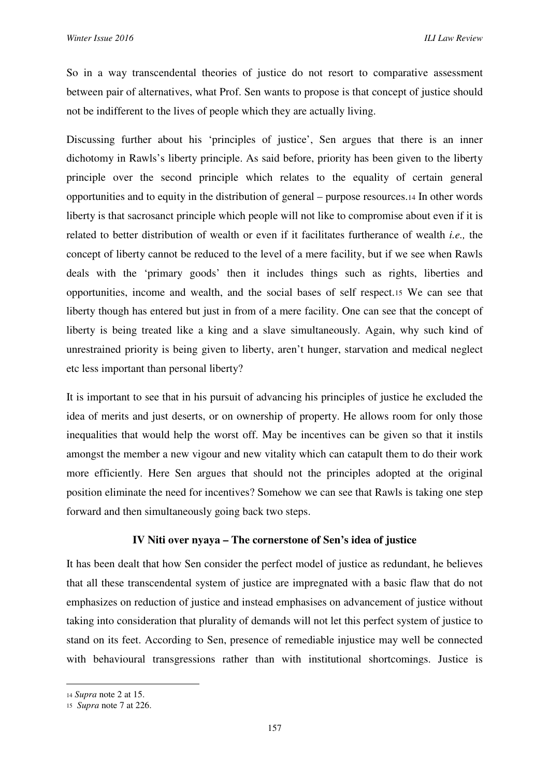So in a way transcendental theories of justice do not resort to comparative assessment between pair of alternatives, what Prof. Sen wants to propose is that concept of justice should not be indifferent to the lives of people which they are actually living.

Discussing further about his 'principles of justice', Sen argues that there is an inner dichotomy in Rawls's liberty principle. As said before, priority has been given to the liberty principle over the second principle which relates to the equality of certain general opportunities and to equity in the distribution of general – purpose resources.14 In other words liberty is that sacrosanct principle which people will not like to compromise about even if it is related to better distribution of wealth or even if it facilitates furtherance of wealth *i.e.,* the concept of liberty cannot be reduced to the level of a mere facility, but if we see when Rawls deals with the 'primary goods' then it includes things such as rights, liberties and opportunities, income and wealth, and the social bases of self respect.15 We can see that liberty though has entered but just in from of a mere facility. One can see that the concept of liberty is being treated like a king and a slave simultaneously. Again, why such kind of unrestrained priority is being given to liberty, aren't hunger, starvation and medical neglect etc less important than personal liberty?

It is important to see that in his pursuit of advancing his principles of justice he excluded the idea of merits and just deserts, or on ownership of property. He allows room for only those inequalities that would help the worst off. May be incentives can be given so that it instils amongst the member a new vigour and new vitality which can catapult them to do their work more efficiently. Here Sen argues that should not the principles adopted at the original position eliminate the need for incentives? Somehow we can see that Rawls is taking one step forward and then simultaneously going back two steps.

# **IV Niti over nyaya – The cornerstone of Sen's idea of justice**

It has been dealt that how Sen consider the perfect model of justice as redundant, he believes that all these transcendental system of justice are impregnated with a basic flaw that do not emphasizes on reduction of justice and instead emphasises on advancement of justice without taking into consideration that plurality of demands will not let this perfect system of justice to stand on its feet. According to Sen, presence of remediable injustice may well be connected with behavioural transgressions rather than with institutional shortcomings. Justice is

<sup>14</sup> *Supra* note 2 at 15.

<sup>15</sup> *Supra* note 7 at 226.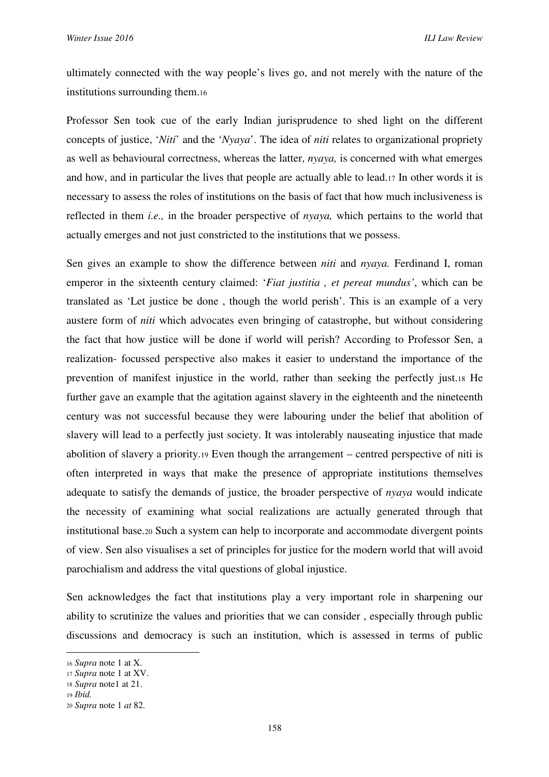ultimately connected with the way people's lives go, and not merely with the nature of the institutions surrounding them.<sup>16</sup>

Professor Sen took cue of the early Indian jurisprudence to shed light on the different concepts of justice, '*Niti*' and the '*Nyaya*'. The idea of *niti* relates to organizational propriety as well as behavioural correctness, whereas the latter, *nyaya,* is concerned with what emerges and how, and in particular the lives that people are actually able to lead.17 In other words it is necessary to assess the roles of institutions on the basis of fact that how much inclusiveness is reflected in them *i.e.,* in the broader perspective of *nyaya,* which pertains to the world that actually emerges and not just constricted to the institutions that we possess.

Sen gives an example to show the difference between *niti* and *nyaya*. Ferdinand I, roman emperor in the sixteenth century claimed: '*Fiat justitia , et pereat mundus'*, which can be translated as 'Let justice be done , though the world perish'. This is an example of a very austere form of *niti* which advocates even bringing of catastrophe, but without considering the fact that how justice will be done if world will perish? According to Professor Sen, a realization- focussed perspective also makes it easier to understand the importance of the prevention of manifest injustice in the world, rather than seeking the perfectly just.18 He further gave an example that the agitation against slavery in the eighteenth and the nineteenth century was not successful because they were labouring under the belief that abolition of slavery will lead to a perfectly just society. It was intolerably nauseating injustice that made abolition of slavery a priority.19 Even though the arrangement – centred perspective of niti is often interpreted in ways that make the presence of appropriate institutions themselves adequate to satisfy the demands of justice, the broader perspective of *nyaya* would indicate the necessity of examining what social realizations are actually generated through that institutional base.20 Such a system can help to incorporate and accommodate divergent points of view. Sen also visualises a set of principles for justice for the modern world that will avoid parochialism and address the vital questions of global injustice.

Sen acknowledges the fact that institutions play a very important role in sharpening our ability to scrutinize the values and priorities that we can consider , especially through public discussions and democracy is such an institution, which is assessed in terms of public

 $\overline{a}$ 

<sup>16</sup> *Supra* note 1 at X.

<sup>17</sup> *Supra* note 1 at XV.

<sup>18</sup> *Supra* note1 at 21.

<sup>19</sup> *Ibid.*

<sup>20</sup> *Supra* note 1 *at* 82.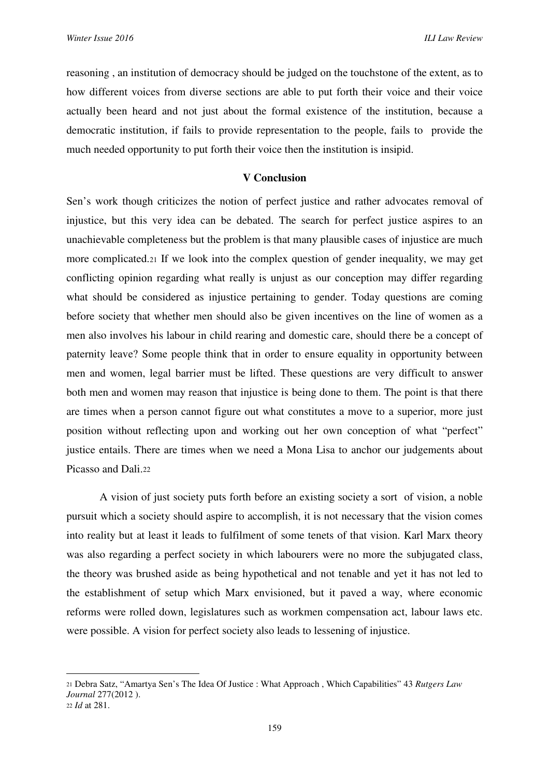reasoning , an institution of democracy should be judged on the touchstone of the extent, as to how different voices from diverse sections are able to put forth their voice and their voice actually been heard and not just about the formal existence of the institution, because a democratic institution, if fails to provide representation to the people, fails to provide the much needed opportunity to put forth their voice then the institution is insipid.

#### **V Conclusion**

Sen's work though criticizes the notion of perfect justice and rather advocates removal of injustice, but this very idea can be debated. The search for perfect justice aspires to an unachievable completeness but the problem is that many plausible cases of injustice are much more complicated.21 If we look into the complex question of gender inequality, we may get conflicting opinion regarding what really is unjust as our conception may differ regarding what should be considered as injustice pertaining to gender. Today questions are coming before society that whether men should also be given incentives on the line of women as a men also involves his labour in child rearing and domestic care, should there be a concept of paternity leave? Some people think that in order to ensure equality in opportunity between men and women, legal barrier must be lifted. These questions are very difficult to answer both men and women may reason that injustice is being done to them. The point is that there are times when a person cannot figure out what constitutes a move to a superior, more just position without reflecting upon and working out her own conception of what "perfect" justice entails. There are times when we need a Mona Lisa to anchor our judgements about Picasso and Dali.<sup>22</sup>

A vision of just society puts forth before an existing society a sort of vision, a noble pursuit which a society should aspire to accomplish, it is not necessary that the vision comes into reality but at least it leads to fulfilment of some tenets of that vision. Karl Marx theory was also regarding a perfect society in which labourers were no more the subjugated class, the theory was brushed aside as being hypothetical and not tenable and yet it has not led to the establishment of setup which Marx envisioned, but it paved a way, where economic reforms were rolled down, legislatures such as workmen compensation act, labour laws etc. were possible. A vision for perfect society also leads to lessening of injustice.

<sup>22</sup> *Id* at 281.

 $\overline{a}$ 

<sup>21</sup> Debra Satz, "Amartya Sen's The Idea Of Justice : What Approach , Which Capabilities" 43 *Rutgers Law Journal* 277(2012 ).